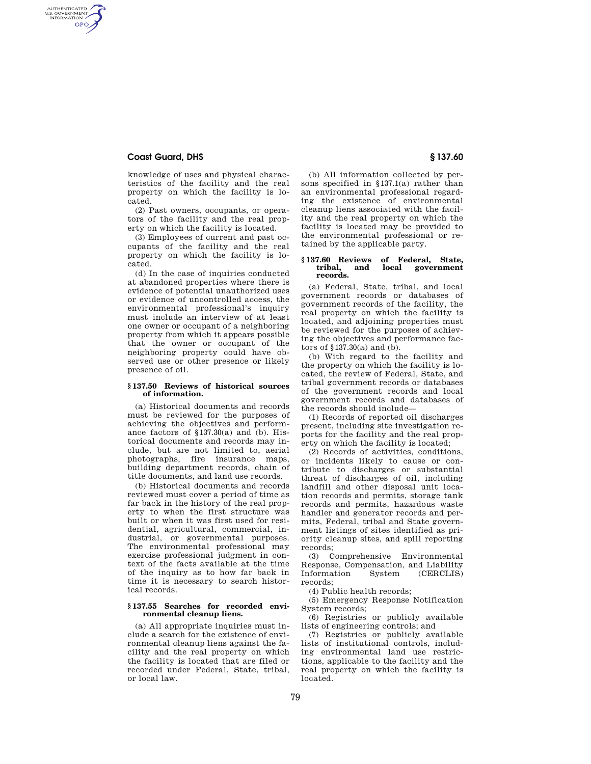## **Coast Guard, DHS § 137.60**

AUTHENTICATED<br>U.S. GOVERNMENT<br>INFORMATION **GPO** 

> knowledge of uses and physical characteristics of the facility and the real property on which the facility is located.

(2) Past owners, occupants, or operators of the facility and the real property on which the facility is located.

(3) Employees of current and past occupants of the facility and the real property on which the facility is located.

(d) In the case of inquiries conducted at abandoned properties where there is evidence of potential unauthorized uses or evidence of uncontrolled access, the environmental professional's inquiry must include an interview of at least one owner or occupant of a neighboring property from which it appears possible that the owner or occupant of the neighboring property could have observed use or other presence or likely presence of oil.

### **§ 137.50 Reviews of historical sources of information.**

(a) Historical documents and records must be reviewed for the purposes of achieving the objectives and performance factors of §137.30(a) and (b). Historical documents and records may include, but are not limited to, aerial photographs, fire insurance maps, building department records, chain of title documents, and land use records.

(b) Historical documents and records reviewed must cover a period of time as far back in the history of the real property to when the first structure was built or when it was first used for residential, agricultural, commercial, industrial, or governmental purposes. The environmental professional may exercise professional judgment in context of the facts available at the time of the inquiry as to how far back in time it is necessary to search historical records.

#### **§ 137.55 Searches for recorded environmental cleanup liens.**

(a) All appropriate inquiries must include a search for the existence of environmental cleanup liens against the facility and the real property on which the facility is located that are filed or recorded under Federal, State, tribal, or local law.

(b) All information collected by persons specified in §137.1(a) rather than an environmental professional regarding the existence of environmental cleanup liens associated with the facility and the real property on which the facility is located may be provided to the environmental professional or retained by the applicable party.

#### **§ 137.60 Reviews of Federal, State,**  government **records.**

(a) Federal, State, tribal, and local government records or databases of government records of the facility, the real property on which the facility is located, and adjoining properties must be reviewed for the purposes of achieving the objectives and performance factors of §137.30(a) and (b).

(b) With regard to the facility and the property on which the facility is located, the review of Federal, State, and tribal government records or databases of the government records and local government records and databases of the records should include—

(1) Records of reported oil discharges present, including site investigation reports for the facility and the real property on which the facility is located;

(2) Records of activities, conditions, or incidents likely to cause or contribute to discharges or substantial threat of discharges of oil, including landfill and other disposal unit location records and permits, storage tank records and permits, hazardous waste handler and generator records and permits, Federal, tribal and State government listings of sites identified as priority cleanup sites, and spill reporting records;

(3) Comprehensive Environmental Response, Compensation, and Liability Information System (CERCLIS) records;

(4) Public health records;

(5) Emergency Response Notification System records;

(6) Registries or publicly available lists of engineering controls; and

(7) Registries or publicly available lists of institutional controls, including environmental land use restrictions, applicable to the facility and the real property on which the facility is located.